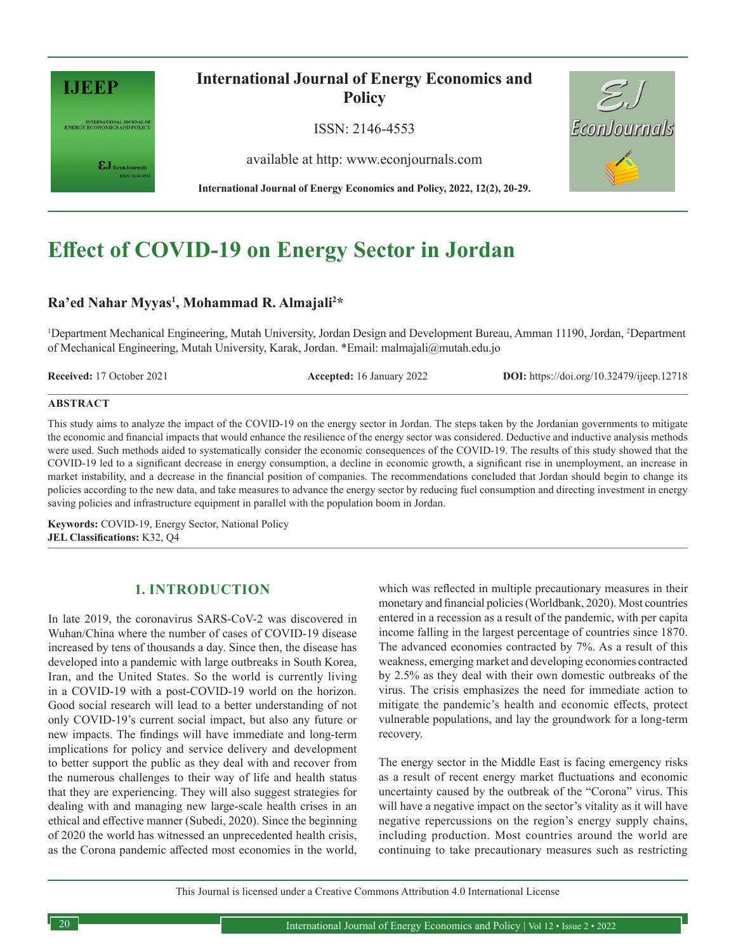

INTERNATIONAL JOURNAL OF<br>ENERGY ECONOMICS AND POLICY

 $\epsilon J_{\textrm{\tiny{EconJournals}}}$ 

## **International Journal of Energy Economics and Policy**

ISSN: 2146-4553

available at http: www.econjournals.com

**International Journal of Energy Economics and Policy, 2022, 12(2), 20-29.**



# **Effect of COVID-19 on Energy Sector in Jordan**

## Ra'ed Nahar Myyas<sup>1</sup>, Mohammad R. Almajali<sup>2\*</sup>

<sup>1</sup>Department Mechanical Engineering, Mutah University, Jordan Design and Development Bureau, Amman 11190, Jordan, <sup>2</sup>Department of Mechanical Engineering, Mutah University, Karak, Jordan. \*Email: malmajali@mutah.edu.jo

**Received:** 17 October 2021 **Accepted:** 16 January 2022 **DOI:** https://doi.org/10.32479/ijeep.12718

#### **ABSTRACT**

This study aims to analyze the impact of the COVID-19 on the energy sector in Jordan. The steps taken by the Jordanian governments to mitigate the economic and financial impacts that would enhance the resilience of the energy sector was considered. Deductive and inductive analysis methods were used. Such methods aided to systematically consider the economic consequences of the COVID-19. The results of this study showed that the COVID-19 led to a significant decrease in energy consumption, a decline in economic growth, a significant rise in unemployment, an increase in market instability, and a decrease in the financial position of companies. The recommendations concluded that Jordan should begin to change its policies according to the new data, and take measures to advance the energy sector by reducing fuel consumption and directing investment in energy saving policies and infrastructure equipment in parallel with the population boom in Jordan.

**Keywords:** COVID-19, Energy Sector, National Policy **JEL Classifications:** K32, Q4

## **1. INTRODUCTION**

In late 2019, the coronavirus SARS-CoV-2 was discovered in Wuhan/China where the number of cases of COVID-19 disease increased by tens of thousands a day. Since then, the disease has developed into a pandemic with large outbreaks in South Korea, Iran, and the United States. So the world is currently living in a COVID-19 with a post-COVID-19 world on the horizon. Good social research will lead to a better understanding of not only COVID-19's current social impact, but also any future or new impacts. The findings will have immediate and long-term implications for policy and service delivery and development to better support the public as they deal with and recover from the numerous challenges to their way of life and health status that they are experiencing. They will also suggest strategies for dealing with and managing new large-scale health crises in an ethical and effective manner (Subedi, 2020). Since the beginning of 2020 the world has witnessed an unprecedented health crisis, as the Corona pandemic affected most economies in the world, which was reflected in multiple precautionary measures in their monetary and financial policies (Worldbank, 2020). Most countries entered in a recession as a result of the pandemic, with per capita income falling in the largest percentage of countries since 1870. The advanced economies contracted by 7%. As a result of this weakness, emerging market and developing economies contracted by 2.5% as they deal with their own domestic outbreaks of the virus. The crisis emphasizes the need for immediate action to mitigate the pandemic's health and economic effects, protect vulnerable populations, and lay the groundwork for a long-term recovery.

The energy sector in the Middle East is facing emergency risks as a result of recent energy market fluctuations and economic uncertainty caused by the outbreak of the "Corona" virus. This will have a negative impact on the sector's vitality as it will have negative repercussions on the region's energy supply chains, including production. Most countries around the world are continuing to take precautionary measures such as restricting

This Journal is licensed under a Creative Commons Attribution 4.0 International License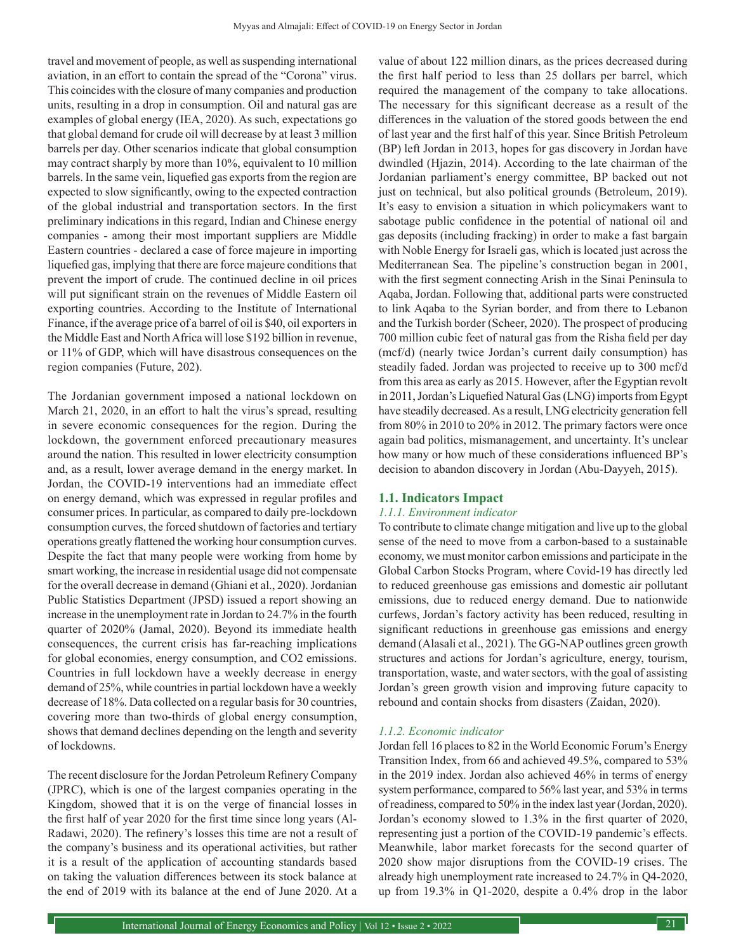travel and movement of people, as well as suspending international aviation, in an effort to contain the spread of the "Corona" virus. This coincides with the closure of many companies and production units, resulting in a drop in consumption. Oil and natural gas are examples of global energy (IEA, 2020). As such, expectations go that global demand for crude oil will decrease by at least 3 million barrels per day. Other scenarios indicate that global consumption may contract sharply by more than 10%, equivalent to 10 million barrels. In the same vein, liquefied gas exports from the region are expected to slow significantly, owing to the expected contraction of the global industrial and transportation sectors. In the first preliminary indications in this regard, Indian and Chinese energy companies - among their most important suppliers are Middle Eastern countries - declared a case of force majeure in importing liquefied gas, implying that there are force majeure conditions that prevent the import of crude. The continued decline in oil prices will put significant strain on the revenues of Middle Eastern oil exporting countries. According to the Institute of International Finance, if the average price of a barrel of oil is \$40, oil exporters in the Middle East and North Africa will lose \$192 billion in revenue, or 11% of GDP, which will have disastrous consequences on the region companies (Future, 202).

The Jordanian government imposed a national lockdown on March 21, 2020, in an effort to halt the virus's spread, resulting in severe economic consequences for the region. During the lockdown, the government enforced precautionary measures around the nation. This resulted in lower electricity consumption and, as a result, lower average demand in the energy market. In Jordan, the COVID-19 interventions had an immediate effect on energy demand, which was expressed in regular profiles and consumer prices. In particular, as compared to daily pre-lockdown consumption curves, the forced shutdown of factories and tertiary operations greatly flattened the working hour consumption curves. Despite the fact that many people were working from home by smart working, the increase in residential usage did not compensate for the overall decrease in demand (Ghiani et al., 2020). Jordanian Public Statistics Department (JPSD) issued a report showing an increase in the unemployment rate in Jordan to 24.7% in the fourth quarter of 2020% (Jamal, 2020). Beyond its immediate health consequences, the current crisis has far-reaching implications for global economies, energy consumption, and CO2 emissions. Countries in full lockdown have a weekly decrease in energy demand of 25%, while countries in partial lockdown have a weekly decrease of 18%. Data collected on a regular basis for 30 countries, covering more than two-thirds of global energy consumption, shows that demand declines depending on the length and severity of lockdowns.

The recent disclosure for the Jordan Petroleum Refinery Company (JPRC), which is one of the largest companies operating in the Kingdom, showed that it is on the verge of financial losses in the first half of year 2020 for the first time since long years (Al-Radawi, 2020). The refinery's losses this time are not a result of the company's business and its operational activities, but rather it is a result of the application of accounting standards based on taking the valuation differences between its stock balance at the end of 2019 with its balance at the end of June 2020. At a

value of about 122 million dinars, as the prices decreased during the first half period to less than 25 dollars per barrel, which required the management of the company to take allocations. The necessary for this significant decrease as a result of the differences in the valuation of the stored goods between the end of last year and the first half of this year. Since British Petroleum (BP) left Jordan in 2013, hopes for gas discovery in Jordan have dwindled (Hjazin, 2014). According to the late chairman of the Jordanian parliament's energy committee, BP backed out not just on technical, but also political grounds (Betroleum, 2019). It's easy to envision a situation in which policymakers want to sabotage public confidence in the potential of national oil and gas deposits (including fracking) in order to make a fast bargain with Noble Energy for Israeli gas, which is located just across the Mediterranean Sea. The pipeline's construction began in 2001, with the first segment connecting Arish in the Sinai Peninsula to Aqaba, Jordan. Following that, additional parts were constructed to link Aqaba to the Syrian border, and from there to Lebanon and the Turkish border (Scheer, 2020). The prospect of producing 700 million cubic feet of natural gas from the Risha field per day (mcf/d) (nearly twice Jordan's current daily consumption) has steadily faded. Jordan was projected to receive up to 300 mcf/d from this area as early as 2015. However, after the Egyptian revolt in 2011, Jordan's Liquefied Natural Gas (LNG) imports from Egypt have steadily decreased. As a result, LNG electricity generation fell from 80% in 2010 to 20% in 2012. The primary factors were once again bad politics, mismanagement, and uncertainty. It's unclear how many or how much of these considerations influenced BP's decision to abandon discovery in Jordan (Abu-Dayyeh, 2015).

#### **1.1. Indicators Impact**

#### *1.1.1. Environment indicator*

To contribute to climate change mitigation and live up to the global sense of the need to move from a carbon-based to a sustainable economy, we must monitor carbon emissions and participate in the Global Carbon Stocks Program, where Covid-19 has directly led to reduced greenhouse gas emissions and domestic air pollutant emissions, due to reduced energy demand. Due to nationwide curfews, Jordan's factory activity has been reduced, resulting in significant reductions in greenhouse gas emissions and energy demand (Alasali et al., 2021). The GG-NAP outlines green growth structures and actions for Jordan's agriculture, energy, tourism, transportation, waste, and water sectors, with the goal of assisting Jordan's green growth vision and improving future capacity to rebound and contain shocks from disasters (Zaidan, 2020).

#### *1.1.2. Economic indicator*

Jordan fell 16 places to 82 in the World Economic Forum's Energy Transition Index, from 66 and achieved 49.5%, compared to 53% in the 2019 index. Jordan also achieved 46% in terms of energy system performance, compared to 56% last year, and 53% in terms of readiness, compared to 50% in the index last year (Jordan, 2020). Jordan's economy slowed to 1.3% in the first quarter of 2020, representing just a portion of the COVID-19 pandemic's effects. Meanwhile, labor market forecasts for the second quarter of 2020 show major disruptions from the COVID-19 crises. The already high unemployment rate increased to 24.7% in Q4-2020, up from 19.3% in Q1-2020, despite a 0.4% drop in the labor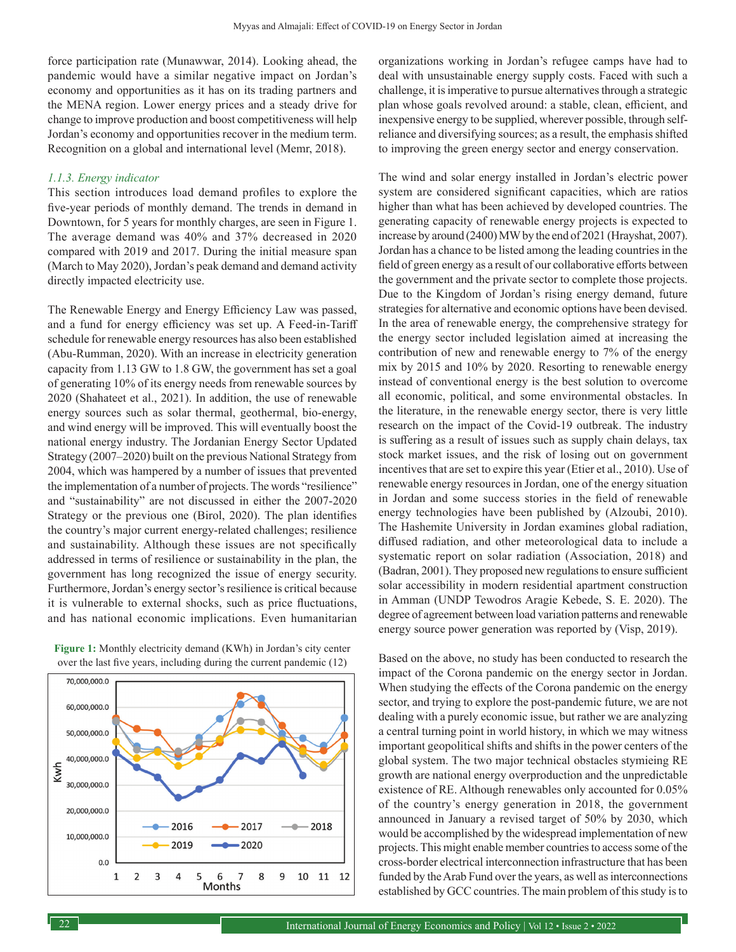force participation rate (Munawwar, 2014). Looking ahead, the pandemic would have a similar negative impact on Jordan's economy and opportunities as it has on its trading partners and the MENA region. Lower energy prices and a steady drive for change to improve production and boost competitiveness will help Jordan's economy and opportunities recover in the medium term. Recognition on a global and international level (Memr, 2018).

#### *1.1.3. Energy indicator*

This section introduces load demand profiles to explore the five-year periods of monthly demand. The trends in demand in Downtown, for 5 years for monthly charges, are seen in Figure 1. The average demand was 40% and 37% decreased in 2020 compared with 2019 and 2017. During the initial measure span (March to May 2020), Jordan's peak demand and demand activity directly impacted electricity use.

The Renewable Energy and Energy Efficiency Law was passed, and a fund for energy efficiency was set up. A Feed-in-Tariff schedule for renewable energy resources has also been established (Abu-Rumman, 2020). With an increase in electricity generation capacity from 1.13 GW to 1.8 GW, the government has set a goal of generating 10% of its energy needs from renewable sources by 2020 (Shahateet et al., 2021). In addition, the use of renewable energy sources such as solar thermal, geothermal, bio-energy, and wind energy will be improved. This will eventually boost the national energy industry. The Jordanian Energy Sector Updated Strategy (2007–2020) built on the previous National Strategy from 2004, which was hampered by a number of issues that prevented the implementation of a number of projects. The words "resilience" and "sustainability" are not discussed in either the 2007-2020 Strategy or the previous one (Birol, 2020). The plan identifies the country's major current energy-related challenges; resilience and sustainability. Although these issues are not specifically addressed in terms of resilience or sustainability in the plan, the government has long recognized the issue of energy security. Furthermore, Jordan's energy sector's resilience is critical because it is vulnerable to external shocks, such as price fluctuations, and has national economic implications. Even humanitarian

**Figure 1:** Monthly electricity demand (KWh) in Jordan's city center over the last five years, including during the current pandemic (12)



organizations working in Jordan's refugee camps have had to deal with unsustainable energy supply costs. Faced with such a challenge, it is imperative to pursue alternatives through a strategic plan whose goals revolved around: a stable, clean, efficient, and inexpensive energy to be supplied, wherever possible, through selfreliance and diversifying sources; as a result, the emphasis shifted to improving the green energy sector and energy conservation.

The wind and solar energy installed in Jordan's electric power system are considered significant capacities, which are ratios higher than what has been achieved by developed countries. The generating capacity of renewable energy projects is expected to increase by around (2400) MW by the end of 2021 (Hrayshat, 2007). Jordan has a chance to be listed among the leading countries in the field of green energy as a result of our collaborative efforts between the government and the private sector to complete those projects. Due to the Kingdom of Jordan's rising energy demand, future strategies for alternative and economic options have been devised. In the area of renewable energy, the comprehensive strategy for the energy sector included legislation aimed at increasing the contribution of new and renewable energy to 7% of the energy mix by 2015 and 10% by 2020. Resorting to renewable energy instead of conventional energy is the best solution to overcome all economic, political, and some environmental obstacles. In the literature, in the renewable energy sector, there is very little research on the impact of the Covid-19 outbreak. The industry is suffering as a result of issues such as supply chain delays, tax stock market issues, and the risk of losing out on government incentives that are set to expire this year (Etier et al., 2010). Use of renewable energy resources in Jordan, one of the energy situation in Jordan and some success stories in the field of renewable energy technologies have been published by (Alzoubi, 2010). The Hashemite University in Jordan examines global radiation, diffused radiation, and other meteorological data to include a systematic report on solar radiation (Association, 2018) and (Badran, 2001). They proposed new regulations to ensure sufficient solar accessibility in modern residential apartment construction in Amman (UNDP Tewodros Aragie Kebede, S. E. 2020). The degree of agreement between load variation patterns and renewable energy source power generation was reported by (Visp, 2019).

Based on the above, no study has been conducted to research the impact of the Corona pandemic on the energy sector in Jordan. When studying the effects of the Corona pandemic on the energy sector, and trying to explore the post-pandemic future, we are not dealing with a purely economic issue, but rather we are analyzing a central turning point in world history, in which we may witness important geopolitical shifts and shifts in the power centers of the global system. The two major technical obstacles stymieing RE growth are national energy overproduction and the unpredictable existence of RE. Although renewables only accounted for 0.05% of the country's energy generation in 2018, the government announced in January a revised target of 50% by 2030, which would be accomplished by the widespread implementation of new projects. This might enable member countries to access some of the cross-border electrical interconnection infrastructure that has been funded by the Arab Fund over the years, as well as interconnections established by GCC countries. The main problem of this study is to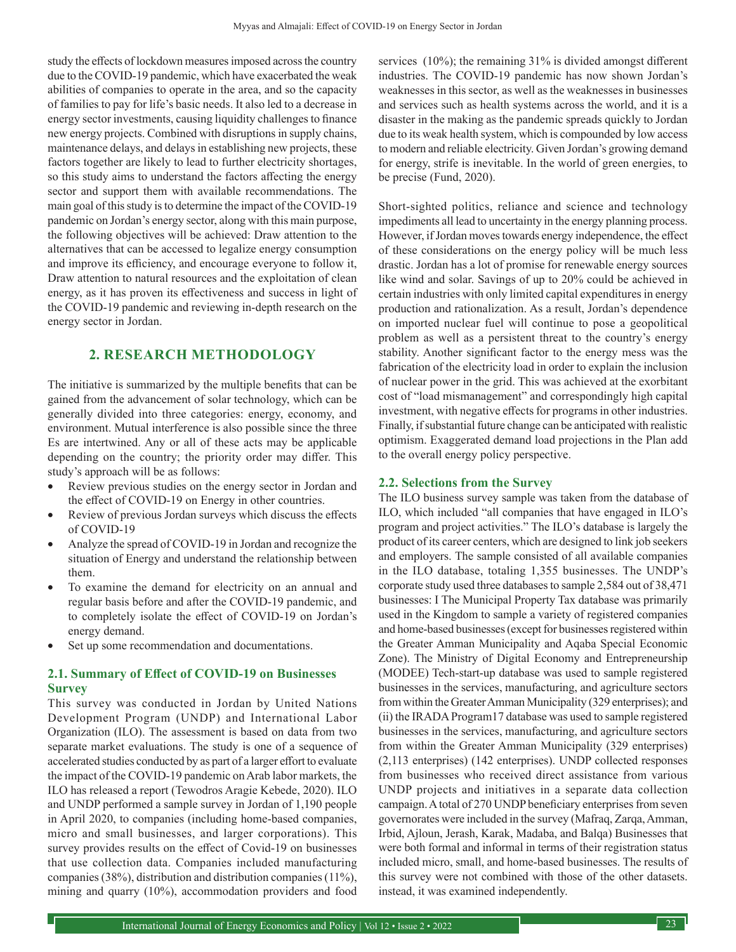study the effects of lockdown measures imposed across the country due to the COVID-19 pandemic, which have exacerbated the weak abilities of companies to operate in the area, and so the capacity of families to pay for life's basic needs. It also led to a decrease in energy sector investments, causing liquidity challenges to finance new energy projects. Combined with disruptions in supply chains, maintenance delays, and delays in establishing new projects, these factors together are likely to lead to further electricity shortages, so this study aims to understand the factors affecting the energy sector and support them with available recommendations. The main goal of this study is to determine the impact of the COVID-19 pandemic on Jordan's energy sector, along with this main purpose, the following objectives will be achieved: Draw attention to the alternatives that can be accessed to legalize energy consumption and improve its efficiency, and encourage everyone to follow it, Draw attention to natural resources and the exploitation of clean energy, as it has proven its effectiveness and success in light of the COVID-19 pandemic and reviewing in-depth research on the energy sector in Jordan.

## **2. RESEARCH METHODOLOGY**

The initiative is summarized by the multiple benefits that can be gained from the advancement of solar technology, which can be generally divided into three categories: energy, economy, and environment. Mutual interference is also possible since the three Es are intertwined. Any or all of these acts may be applicable depending on the country; the priority order may differ. This study's approach will be as follows:

- Review previous studies on the energy sector in Jordan and the effect of COVID-19 on Energy in other countries.
- Review of previous Jordan surveys which discuss the effects of COVID-19
- Analyze the spread of COVID-19 in Jordan and recognize the situation of Energy and understand the relationship between them.
- To examine the demand for electricity on an annual and regular basis before and after the COVID-19 pandemic, and to completely isolate the effect of COVID-19 on Jordan's energy demand.
- Set up some recommendation and documentations.

## **2.1. Summary of Effect of COVID-19 on Businesses Survey**

This survey was conducted in Jordan by United Nations Development Program (UNDP) and International Labor Organization (ILO). The assessment is based on data from two separate market evaluations. The study is one of a sequence of accelerated studies conducted by as part of a larger effort to evaluate the impact of the COVID-19 pandemic on Arab labor markets, the ILO has released a report (Tewodros Aragie Kebede, 2020). ILO and UNDP performed a sample survey in Jordan of 1,190 people in April 2020, to companies (including home-based companies, micro and small businesses, and larger corporations). This survey provides results on the effect of Covid-19 on businesses that use collection data. Companies included manufacturing companies(38%), distribution and distribution companies (11%), mining and quarry (10%), accommodation providers and food

services (10%); the remaining 31% is divided amongst different industries. The COVID-19 pandemic has now shown Jordan's weaknesses in this sector, as well as the weaknesses in businesses and services such as health systems across the world, and it is a disaster in the making as the pandemic spreads quickly to Jordan due to its weak health system, which is compounded by low access to modern and reliable electricity. Given Jordan's growing demand for energy, strife is inevitable. In the world of green energies, to be precise (Fund, 2020).

Short-sighted politics, reliance and science and technology impediments all lead to uncertainty in the energy planning process. However, if Jordan moves towards energy independence, the effect of these considerations on the energy policy will be much less drastic. Jordan has a lot of promise for renewable energy sources like wind and solar. Savings of up to 20% could be achieved in certain industries with only limited capital expenditures in energy production and rationalization. As a result, Jordan's dependence on imported nuclear fuel will continue to pose a geopolitical problem as well as a persistent threat to the country's energy stability. Another significant factor to the energy mess was the fabrication of the electricity load in order to explain the inclusion of nuclear power in the grid. This was achieved at the exorbitant cost of "load mismanagement" and correspondingly high capital investment, with negative effects for programs in other industries. Finally, if substantial future change can be anticipated with realistic optimism. Exaggerated demand load projections in the Plan add to the overall energy policy perspective.

## **2.2. Selections from the Survey**

The ILO business survey sample was taken from the database of ILO, which included "all companies that have engaged in ILO's program and project activities." The ILO's database is largely the product of its career centers, which are designed to link job seekers and employers. The sample consisted of all available companies in the ILO database, totaling 1,355 businesses. The UNDP's corporate study used three databases to sample 2,584 out of 38,471 businesses: I The Municipal Property Tax database was primarily used in the Kingdom to sample a variety of registered companies and home-based businesses (except for businesses registered within the Greater Amman Municipality and Aqaba Special Economic Zone). The Ministry of Digital Economy and Entrepreneurship (MODEE) Tech-start-up database was used to sample registered businesses in the services, manufacturing, and agriculture sectors from within the Greater Amman Municipality (329 enterprises); and (ii) the IRADA Program17 database was used to sample registered businesses in the services, manufacturing, and agriculture sectors from within the Greater Amman Municipality (329 enterprises) (2,113 enterprises) (142 enterprises). UNDP collected responses from businesses who received direct assistance from various UNDP projects and initiatives in a separate data collection campaign. Atotal of 270 UNDP beneficiary enterprises from seven governorates were included in the survey (Mafraq, Zarqa, Amman, Irbid, Ajloun, Jerash, Karak, Madaba, and Balqa) Businesses that were both formal and informal in terms of their registration status included micro, small, and home-based businesses. The results of this survey were not combined with those of the other datasets. instead, it was examined independently.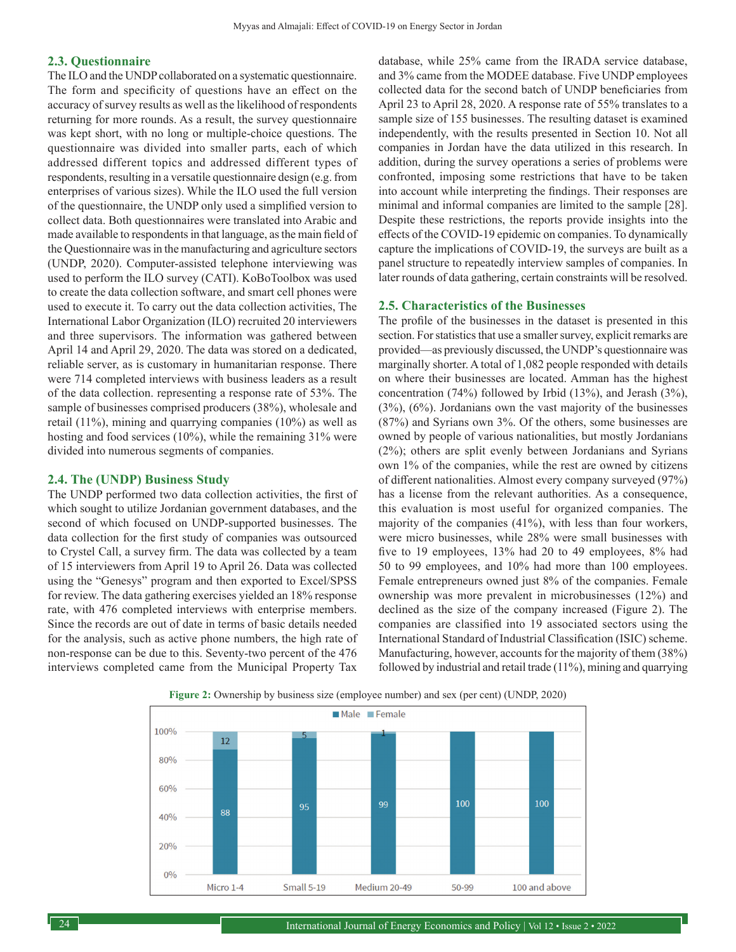#### **2.3. Questionnaire**

The ILO and the UNDP collaborated on a systematic questionnaire. The form and specificity of questions have an effect on the accuracy of survey results as well as the likelihood of respondents returning for more rounds. As a result, the survey questionnaire was kept short, with no long or multiple-choice questions. The questionnaire was divided into smaller parts, each of which addressed different topics and addressed different types of respondents, resulting in a versatile questionnaire design (e.g. from enterprises of various sizes). While the ILO used the full version of the questionnaire, the UNDP only used a simplified version to collect data. Both questionnaires were translated into Arabic and made available to respondents in that language, as the main field of the Questionnaire was in the manufacturing and agriculture sectors (UNDP, 2020). Computer-assisted telephone interviewing was used to perform the ILO survey (CATI). KoBoToolbox was used to create the data collection software, and smart cell phones were used to execute it. To carry out the data collection activities, The International Labor Organization (ILO) recruited 20 interviewers and three supervisors. The information was gathered between April 14 and April 29, 2020. The data was stored on a dedicated, reliable server, as is customary in humanitarian response. There were 714 completed interviews with business leaders as a result of the data collection. representing a response rate of 53%. The sample of businesses comprised producers (38%), wholesale and retail (11%), mining and quarrying companies (10%) as well as hosting and food services (10%), while the remaining 31% were divided into numerous segments of companies.

#### **2.4. The (UNDP) Business Study**

The UNDP performed two data collection activities, the first of which sought to utilize Jordanian government databases, and the second of which focused on UNDP-supported businesses. The data collection for the first study of companies was outsourced to Crystel Call, a survey firm. The data was collected by a team of 15 interviewers from April 19 to April 26. Data was collected using the "Genesys" program and then exported to Excel/SPSS for review. The data gathering exercises yielded an 18% response rate, with 476 completed interviews with enterprise members. Since the records are out of date in terms of basic details needed for the analysis, such as active phone numbers, the high rate of non-response can be due to this. Seventy-two percent of the 476 interviews completed came from the Municipal Property Tax

database, while 25% came from the IRADA service database, and 3% came from the MODEE database. Five UNDP employees collected data for the second batch of UNDP beneficiaries from April 23 to April 28, 2020. A response rate of 55% translates to a sample size of 155 businesses. The resulting dataset is examined independently, with the results presented in Section 10. Not all companies in Jordan have the data utilized in this research. In addition, during the survey operations a series of problems were confronted, imposing some restrictions that have to be taken into account while interpreting the findings. Their responses are minimal and informal companies are limited to the sample [28]. Despite these restrictions, the reports provide insights into the effects of the COVID-19 epidemic on companies. To dynamically capture the implications of COVID-19, the surveys are built as a panel structure to repeatedly interview samples of companies. In later rounds of data gathering, certain constraints will be resolved.

#### **2.5. Characteristics of the Businesses**

The profile of the businesses in the dataset is presented in this section. For statistics that use a smaller survey, explicit remarks are provided—as previously discussed, the UNDP's questionnaire was marginally shorter. A total of 1,082 people responded with details on where their businesses are located. Amman has the highest concentration (74%) followed by Irbid (13%), and Jerash (3%), (3%), (6%). Jordanians own the vast majority of the businesses (87%) and Syrians own 3%. Of the others, some businesses are owned by people of various nationalities, but mostly Jordanians (2%); others are split evenly between Jordanians and Syrians own 1% of the companies, while the rest are owned by citizens of different nationalities. Almost every company surveyed (97%) has a license from the relevant authorities. As a consequence, this evaluation is most useful for organized companies. The majority of the companies (41%), with less than four workers, were micro businesses, while 28% were small businesses with five to 19 employees, 13% had 20 to 49 employees, 8% had 50 to 99 employees, and 10% had more than 100 employees. Female entrepreneurs owned just 8% of the companies. Female ownership was more prevalent in microbusinesses (12%) and declined as the size of the company increased (Figure 2). The companies are classified into 19 associated sectors using the International Standard of Industrial Classification (ISIC) scheme. Manufacturing, however, accounts for the majority of them (38%) followed by industrial and retail trade (11%), mining and quarrying



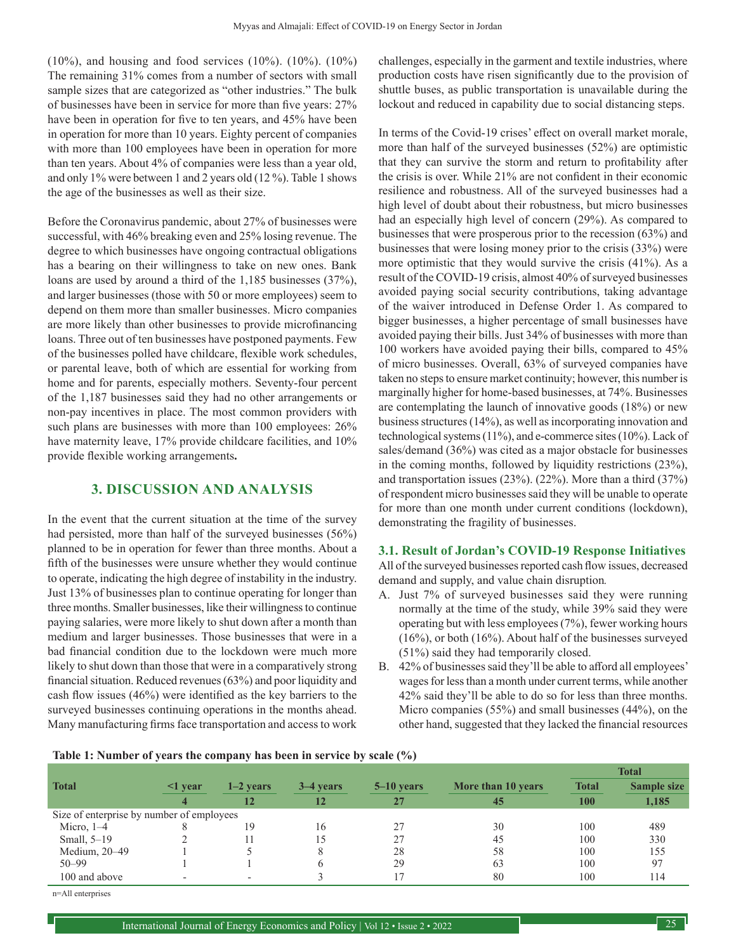(10%), and housing and food services (10%). (10%). (10%) The remaining 31% comes from a number of sectors with small sample sizes that are categorized as "other industries." The bulk of businesses have been in service for more than five years: 27% have been in operation for five to ten years, and 45% have been in operation for more than 10 years. Eighty percent of companies with more than 100 employees have been in operation for more than ten years. About 4% of companies were less than a year old, and only 1% were between 1 and 2 years old (12 %). Table 1 shows the age of the businesses as well as their size.

Before the Coronavirus pandemic, about 27% of businesses were successful, with 46% breaking even and 25% losing revenue. The degree to which businesses have ongoing contractual obligations has a bearing on their willingness to take on new ones. Bank loans are used by around a third of the 1,185 businesses (37%), and larger businesses (those with 50 or more employees) seem to depend on them more than smaller businesses. Micro companies are more likely than other businesses to provide microfinancing loans. Three out of ten businesses have postponed payments. Few of the businesses polled have childcare, flexible work schedules, or parental leave, both of which are essential for working from home and for parents, especially mothers. Seventy-four percent of the 1,187 businesses said they had no other arrangements or non-pay incentives in place. The most common providers with such plans are businesses with more than 100 employees: 26% have maternity leave, 17% provide childcare facilities, and 10% provide flexible working arrangements**.**

## **3. DISCUSSION AND ANALYSIS**

In the event that the current situation at the time of the survey had persisted, more than half of the surveyed businesses (56%) planned to be in operation for fewer than three months. About a fifth of the businesses were unsure whether they would continue to operate, indicating the high degree of instability in the industry. Just 13% of businesses plan to continue operating for longer than three months. Smaller businesses, like their willingness to continue paying salaries, were more likely to shut down after a month than medium and larger businesses. Those businesses that were in a bad financial condition due to the lockdown were much more likely to shut down than those that were in a comparatively strong financial situation. Reduced revenues (63%) and poor liquidity and cash flow issues (46%) were identified as the key barriers to the surveyed businesses continuing operations in the months ahead. Many manufacturing firms face transportation and access to work challenges, especially in the garment and textile industries, where production costs have risen significantly due to the provision of shuttle buses, as public transportation is unavailable during the lockout and reduced in capability due to social distancing steps.

In terms of the Covid-19 crises' effect on overall market morale, more than half of the surveyed businesses (52%) are optimistic that they can survive the storm and return to profitability after the crisis is over. While 21% are not confident in their economic resilience and robustness. All of the surveyed businesses had a high level of doubt about their robustness, but micro businesses had an especially high level of concern (29%). As compared to businesses that were prosperous prior to the recession (63%) and businesses that were losing money prior to the crisis (33%) were more optimistic that they would survive the crisis (41%). As a result of the COVID-19 crisis, almost 40% of surveyed businesses avoided paying social security contributions, taking advantage of the waiver introduced in Defense Order 1. As compared to bigger businesses, a higher percentage of small businesses have avoided paying their bills. Just 34% of businesses with more than 100 workers have avoided paying their bills, compared to 45% of micro businesses. Overall, 63% of surveyed companies have taken no steps to ensure market continuity; however, this number is marginally higher for home-based businesses, at 74%. Businesses are contemplating the launch of innovative goods (18%) or new business structures (14%), as well as incorporating innovation and technological systems (11%), and e-commerce sites (10%). Lack of sales/demand (36%) was cited as a major obstacle for businesses in the coming months, followed by liquidity restrictions (23%), and transportation issues (23%). (22%). More than a third (37%) of respondent micro businesses said they will be unable to operate for more than one month under current conditions (lockdown), demonstrating the fragility of businesses.

## **3.1. Result of Jordan's COVID-19 Response Initiatives**

All of the surveyed businesses reported cash flow issues, decreased demand and supply, and value chain disruption*.*

- A. Just 7% of surveyed businesses said they were running normally at the time of the study, while 39% said they were operating but with less employees (7%), fewer working hours (16%), or both (16%). About half of the businesses surveyed (51%) said they had temporarily closed.
- B. 42% of businesses said they'll be able to afford all employees' wages for less than a month under current terms, while another 42% said they'll be able to do so for less than three months. Micro companies (55%) and small businesses (44%), on the other hand, suggested that they lacked the financial resources

#### **Table 1: Number of years the company has been in service by scale (%)**

|                                           |                  | $1-2$ vears              | 3–4 years |                |                    | <b>Total</b> |                    |  |  |  |
|-------------------------------------------|------------------|--------------------------|-----------|----------------|--------------------|--------------|--------------------|--|--|--|
| <b>Total</b>                              | $\leq$ 1 year    |                          |           | $5 - 10$ vears | More than 10 years | <b>Total</b> | <b>Sample size</b> |  |  |  |
|                                           | $\boldsymbol{4}$ | 12                       | 12        | 27             | 45                 | 100          | 1,185              |  |  |  |
| Size of enterprise by number of employees |                  |                          |           |                |                    |              |                    |  |  |  |
| Micro, $1-4$                              |                  | 19                       | 16        | 27             | 30                 | 100          | 489                |  |  |  |
| Small, $5-19$                             |                  |                          |           | 27             | 45                 | 100          | 330                |  |  |  |
| Medium, 20–49                             |                  |                          |           | 28             | 58                 | 100          | 155                |  |  |  |
| $50 - 99$                                 |                  |                          | h.        | 29             | 63                 | 100          | 97                 |  |  |  |
| 100 and above                             |                  | $\overline{\phantom{0}}$ |           |                | 80                 | 100          | 114                |  |  |  |

n=All enterprises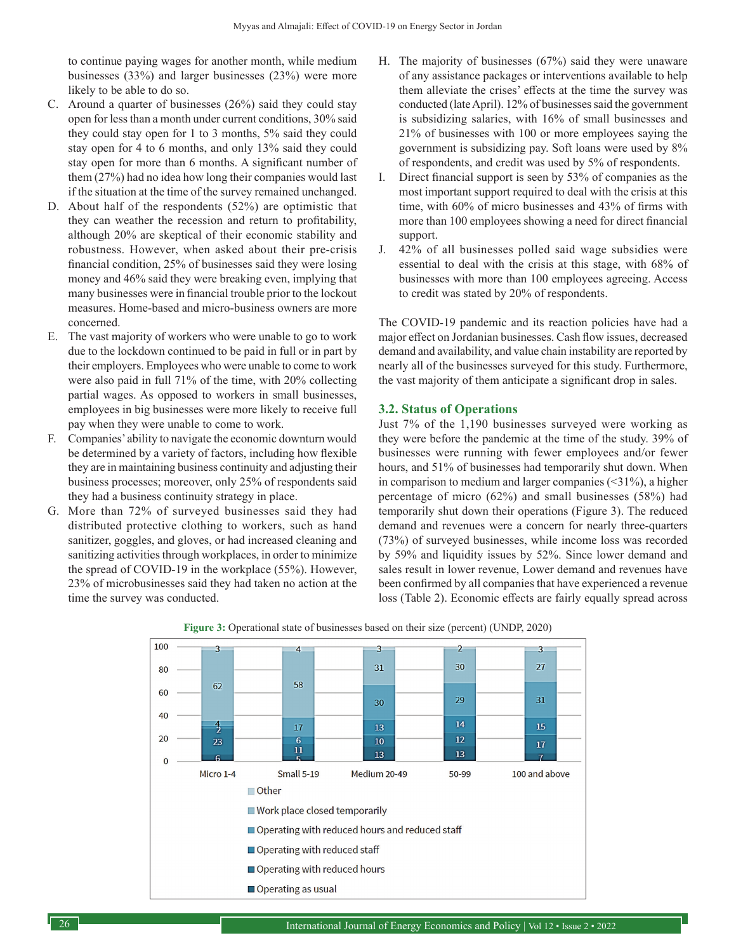to continue paying wages for another month, while medium businesses (33%) and larger businesses (23%) were more likely to be able to do so.

- C. Around a quarter of businesses (26%) said they could stay open for less than a month under current conditions, 30% said they could stay open for 1 to 3 months, 5% said they could stay open for 4 to 6 months, and only 13% said they could stay open for more than 6 months. A significant number of them (27%) had no idea how long their companies would last if the situation at the time of the survey remained unchanged.
- D. About half of the respondents (52%) are optimistic that they can weather the recession and return to profitability, although 20% are skeptical of their economic stability and robustness. However, when asked about their pre-crisis financial condition, 25% of businesses said they were losing money and 46% said they were breaking even, implying that many businesses were in financial trouble prior to the lockout measures. Home-based and micro-business owners are more concerned.
- E. The vast majority of workers who were unable to go to work due to the lockdown continued to be paid in full or in part by their employers. Employees who were unable to come to work were also paid in full 71% of the time, with 20% collecting partial wages. As opposed to workers in small businesses, employees in big businesses were more likely to receive full pay when they were unable to come to work.
- F. Companies' ability to navigate the economic downturn would be determined by a variety of factors, including how flexible they are in maintaining business continuity and adjusting their business processes; moreover, only 25% of respondents said they had a business continuity strategy in place.
- G. More than 72% of surveyed businesses said they had distributed protective clothing to workers, such as hand sanitizer, goggles, and gloves, or had increased cleaning and sanitizing activities through workplaces, in order to minimize the spread of COVID-19 in the workplace (55%). However, 23% of microbusinesses said they had taken no action at the time the survey was conducted.
- H. The majority of businesses (67%) said they were unaware of any assistance packages or interventions available to help them alleviate the crises' effects at the time the survey was conducted (late April). 12% of businesses said the government is subsidizing salaries, with 16% of small businesses and 21% of businesses with 100 or more employees saying the government is subsidizing pay. Soft loans were used by 8% of respondents, and credit was used by 5% of respondents.
- I. Direct financial support is seen by 53% of companies as the most important support required to deal with the crisis at this time, with 60% of micro businesses and 43% of firms with more than 100 employees showing a need for direct financial support.
- J. 42% of all businesses polled said wage subsidies were essential to deal with the crisis at this stage, with 68% of businesses with more than 100 employees agreeing. Access to credit was stated by 20% of respondents.

The COVID-19 pandemic and its reaction policies have had a major effect on Jordanian businesses. Cash flow issues, decreased demand and availability, and value chain instability are reported by nearly all of the businesses surveyed for this study. Furthermore, the vast majority of them anticipate a significant drop in sales.

## **3.2. Status of Operations**

Just 7% of the 1,190 businesses surveyed were working as they were before the pandemic at the time of the study. 39% of businesses were running with fewer employees and/or fewer hours, and 51% of businesses had temporarily shut down. When in comparison to medium and larger companies  $(\leq 31\%)$ , a higher percentage of micro (62%) and small businesses (58%) had temporarily shut down their operations (Figure 3). The reduced demand and revenues were a concern for nearly three-quarters (73%) of surveyed businesses, while income loss was recorded by 59% and liquidity issues by 52%. Since lower demand and sales result in lower revenue, Lower demand and revenues have been confirmed by all companies that have experienced a revenue loss (Table 2). Economic effects are fairly equally spread across



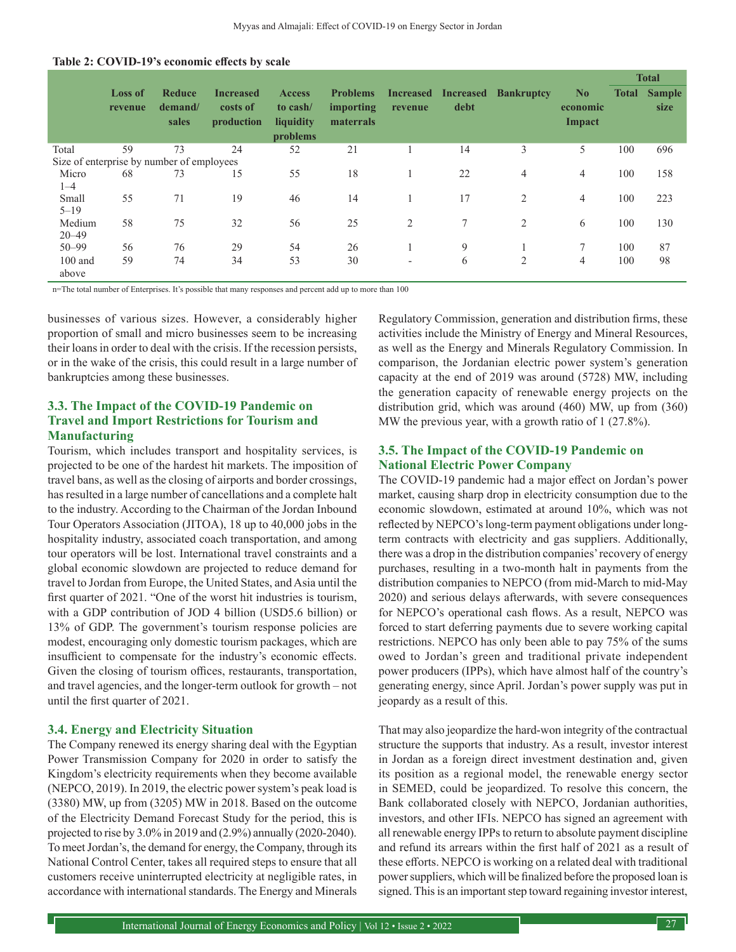|                                           |                           |                                   |                                            |                                                    |                                           |                             |                          |                   |                                      | <b>Total</b> |                       |
|-------------------------------------------|---------------------------|-----------------------------------|--------------------------------------------|----------------------------------------------------|-------------------------------------------|-----------------------------|--------------------------|-------------------|--------------------------------------|--------------|-----------------------|
|                                           | <b>Loss of</b><br>revenue | <b>Reduce</b><br>demand/<br>sales | <b>Increased</b><br>costs of<br>production | <b>Access</b><br>to cash/<br>liquidity<br>problems | <b>Problems</b><br>importing<br>materrals | <b>Increased</b><br>revenue | <b>Increased</b><br>debt | <b>Bankruptcy</b> | N <sub>0</sub><br>economic<br>Impact | <b>Total</b> | <b>Sample</b><br>size |
| Total                                     | 59                        | 73                                | 24                                         | 52                                                 | 21                                        |                             | 14                       | 3                 | 5                                    | 100          | 696                   |
| Size of enterprise by number of employees |                           |                                   |                                            |                                                    |                                           |                             |                          |                   |                                      |              |                       |
| Micro<br>$1 - 4$                          | 68                        | 73                                | 15                                         | 55                                                 | 18                                        | 1                           | 22                       | $\overline{4}$    | $\overline{4}$                       | 100          | 158                   |
| Small<br>$5 - 19$                         | 55                        | 71                                | 19                                         | 46                                                 | 14                                        | 1                           | 17                       | 2                 | $\overline{4}$                       | 100          | 223                   |
| Medium<br>$20 - 49$                       | 58                        | 75                                | 32                                         | 56                                                 | 25                                        | 2                           | $\tau$                   | $\overline{2}$    | 6                                    | 100          | 130                   |
| $50 - 99$                                 | 56                        | 76                                | 29                                         | 54                                                 | 26                                        |                             | 9                        |                   | $\mathcal{I}$                        | 100          | 87                    |
| $100$ and<br>above                        | 59                        | 74                                | 34                                         | 53                                                 | 30                                        | $\overline{\phantom{a}}$    | 6                        | $\overline{c}$    | $\overline{4}$                       | 100          | 98                    |

n=The total number of Enterprises. It's possible that many responses and percent add up to more than 100

businesses of various sizes. However, a considerably higher proportion of small and micro businesses seem to be increasing their loans in order to deal with the crisis. If the recession persists, or in the wake of the crisis, this could result in a large number of bankruptcies among these businesses.

## **3.3. The Impact of the COVID-19 Pandemic on Travel and Import Restrictions for Tourism and Manufacturing**

Tourism, which includes transport and hospitality services, is projected to be one of the hardest hit markets. The imposition of travel bans, as well as the closing of airports and border crossings, has resulted in a large number of cancellations and a complete halt to the industry. According to the Chairman of the Jordan Inbound Tour Operators Association (JITOA), 18 up to 40,000 jobs in the hospitality industry, associated coach transportation, and among tour operators will be lost. International travel constraints and a global economic slowdown are projected to reduce demand for travel to Jordan from Europe, the United States, and Asia until the first quarter of 2021. "One of the worst hit industries is tourism, with a GDP contribution of JOD 4 billion (USD5.6 billion) or 13% of GDP. The government's tourism response policies are modest, encouraging only domestic tourism packages, which are insufficient to compensate for the industry's economic effects. Given the closing of tourism offices, restaurants, transportation, and travel agencies, and the longer-term outlook for growth – not until the first quarter of 2021.

#### **3.4. Energy and Electricity Situation**

The Company renewed its energy sharing deal with the Egyptian Power Transmission Company for 2020 in order to satisfy the Kingdom's electricity requirements when they become available (NEPCO, 2019). In 2019, the electric power system's peak load is (3380) MW, up from (3205) MW in 2018. Based on the outcome of the Electricity Demand Forecast Study for the period, this is projected to rise by 3.0% in 2019 and (2.9%) annually (2020-2040). To meet Jordan's, the demand for energy, the Company, through its National Control Center, takes all required steps to ensure that all customers receive uninterrupted electricity at negligible rates, in accordance with international standards. The Energy and Minerals Regulatory Commission, generation and distribution firms, these activities include the Ministry of Energy and Mineral Resources, as well as the Energy and Minerals Regulatory Commission. In comparison, the Jordanian electric power system's generation capacity at the end of 2019 was around (5728) MW, including the generation capacity of renewable energy projects on the distribution grid, which was around (460) MW, up from (360) MW the previous year, with a growth ratio of 1 (27.8%).

## **3.5. The Impact of the COVID-19 Pandemic on National Electric Power Company**

The COVID-19 pandemic had a major effect on Jordan's power market, causing sharp drop in electricity consumption due to the economic slowdown, estimated at around 10%, which was not reflected by NEPCO's long-term payment obligations under longterm contracts with electricity and gas suppliers. Additionally, there was a drop in the distribution companies' recovery of energy purchases, resulting in a two-month halt in payments from the distribution companies to NEPCO (from mid-March to mid-May 2020) and serious delays afterwards, with severe consequences for NEPCO's operational cash flows. As a result, NEPCO was forced to start deferring payments due to severe working capital restrictions. NEPCO has only been able to pay 75% of the sums owed to Jordan's green and traditional private independent power producers (IPPs), which have almost half of the country's generating energy, since April. Jordan's power supply was put in jeopardy as a result of this.

That may also jeopardize the hard-won integrity of the contractual structure the supports that industry. As a result, investor interest in Jordan as a foreign direct investment destination and, given its position as a regional model, the renewable energy sector in SEMED, could be jeopardized. To resolve this concern, the Bank collaborated closely with NEPCO, Jordanian authorities, investors, and other IFIs. NEPCO has signed an agreement with all renewable energy IPPs to return to absolute payment discipline and refund its arrears within the first half of 2021 as a result of these efforts. NEPCO is working on a related deal with traditional power suppliers, which will be finalized before the proposed loan is signed. This is an important step toward regaining investor interest,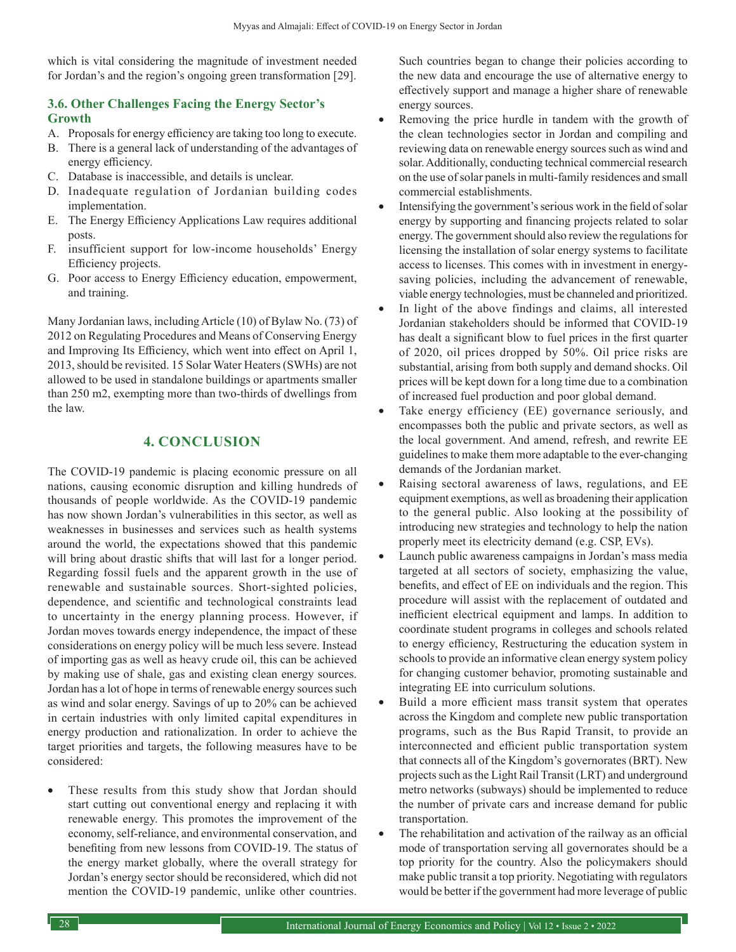which is vital considering the magnitude of investment needed for Jordan's and the region's ongoing green transformation [29].

## **3.6. Other Challenges Facing the Energy Sector's Growth**

- A. Proposals for energy efficiency are taking too long to execute.
- B. There is a general lack of understanding of the advantages of
- energy efficiency. C. Database is inaccessible, and details is unclear.
- D. Inadequate regulation of Jordanian building codes implementation.
- E. The Energy Efficiency Applications Law requires additional posts.
- F. insufficient support for low-income households' Energy Efficiency projects.
- G. Poor access to Energy Efficiency education, empowerment, and training.

Many Jordanian laws, including Article (10) of Bylaw No. (73) of 2012 on Regulating Procedures and Means of Conserving Energy and Improving Its Efficiency, which went into effect on April 1, 2013, should be revisited. 15 Solar Water Heaters (SWHs) are not allowed to be used in standalone buildings or apartments smaller than 250 m2, exempting more than two-thirds of dwellings from the law.

## **4. CONCLUSION**

The COVID-19 pandemic is placing economic pressure on all nations, causing economic disruption and killing hundreds of thousands of people worldwide. As the COVID-19 pandemic has now shown Jordan's vulnerabilities in this sector, as well as weaknesses in businesses and services such as health systems around the world, the expectations showed that this pandemic will bring about drastic shifts that will last for a longer period. Regarding fossil fuels and the apparent growth in the use of renewable and sustainable sources. Short-sighted policies, dependence, and scientific and technological constraints lead to uncertainty in the energy planning process. However, if Jordan moves towards energy independence, the impact of these considerations on energy policy will be much less severe. Instead of importing gas as well as heavy crude oil, this can be achieved by making use of shale, gas and existing clean energy sources. Jordan has a lot of hope in terms of renewable energy sources such as wind and solar energy. Savings of up to 20% can be achieved in certain industries with only limited capital expenditures in energy production and rationalization. In order to achieve the target priorities and targets, the following measures have to be considered:

These results from this study show that Jordan should start cutting out conventional energy and replacing it with renewable energy. This promotes the improvement of the economy, self-reliance, and environmental conservation, and benefiting from new lessons from COVID-19. The status of the energy market globally, where the overall strategy for Jordan's energy sector should be reconsidered, which did not mention the COVID-19 pandemic, unlike other countries.

Such countries began to change their policies according to the new data and encourage the use of alternative energy to effectively support and manage a higher share of renewable energy sources.

- Removing the price hurdle in tandem with the growth of the clean technologies sector in Jordan and compiling and reviewing data on renewable energy sources such as wind and solar. Additionally, conducting technical commercial research on the use of solar panels in multi-family residences and small commercial establishments.
- Intensifying the government's serious work in the field of solar energy by supporting and financing projects related to solar energy. The government should also review the regulations for licensing the installation of solar energy systems to facilitate access to licenses. This comes with in investment in energysaving policies, including the advancement of renewable, viable energy technologies, must be channeled and prioritized.
- In light of the above findings and claims, all interested Jordanian stakeholders should be informed that COVID-19 has dealt a significant blow to fuel prices in the first quarter of 2020, oil prices dropped by 50%. Oil price risks are substantial, arising from both supply and demand shocks. Oil prices will be kept down for a long time due to a combination of increased fuel production and poor global demand.
- Take energy efficiency (EE) governance seriously, and encompasses both the public and private sectors, as well as the local government. And amend, refresh, and rewrite EE guidelines to make them more adaptable to the ever-changing demands of the Jordanian market.
- Raising sectoral awareness of laws, regulations, and EE equipment exemptions, as well as broadening their application to the general public. Also looking at the possibility of introducing new strategies and technology to help the nation properly meet its electricity demand (e.g. CSP, EVs).
- Launch public awareness campaigns in Jordan's mass media targeted at all sectors of society, emphasizing the value, benefits, and effect of EE on individuals and the region. This procedure will assist with the replacement of outdated and inefficient electrical equipment and lamps. In addition to coordinate student programs in colleges and schools related to energy efficiency, Restructuring the education system in schools to provide an informative clean energy system policy for changing customer behavior, promoting sustainable and integrating EE into curriculum solutions.
- Build a more efficient mass transit system that operates across the Kingdom and complete new public transportation programs, such as the Bus Rapid Transit, to provide an interconnected and efficient public transportation system that connects all of the Kingdom's governorates (BRT). New projects such as the Light Rail Transit (LRT) and underground metro networks (subways) should be implemented to reduce the number of private cars and increase demand for public transportation.
- The rehabilitation and activation of the railway as an official mode of transportation serving all governorates should be a top priority for the country. Also the policymakers should make public transit a top priority. Negotiating with regulators would be better if the government had more leverage of public